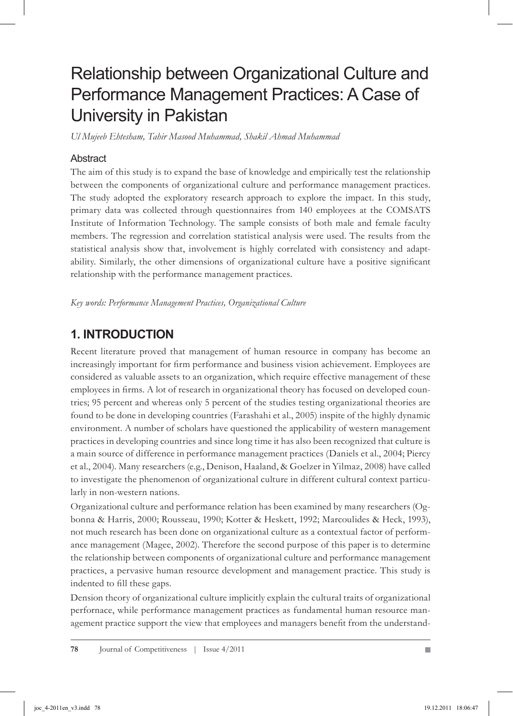# Relationship between Organizational Culture and Performance Management Practices: A Case of University in Pakistan

*Ul Mujeeb Ehtesham, Tahir Masood Muhammad, Shakil Ahmad Muhammad*

### Abstract

The aim of this study is to expand the base of knowledge and empirically test the relationship between the components of organizational culture and performance management practices. The study adopted the exploratory research approach to explore the impact. In this study, primary data was collected through questionnaires from 140 employees at the COMSATS Institute of Information Technology. The sample consists of both male and female faculty members. The regression and correlation statistical analysis were used. The results from the statistical analysis show that, involvement is highly correlated with consistency and adaptability. Similarly, the other dimensions of organizational culture have a positive significant relationship with the performance management practices.

*Key words: Performance Management Practices, Organizational Culture*

### **1. Introduction**

Recent literature proved that management of human resource in company has become an increasingly important for firm performance and business vision achievement. Employees are considered as valuable assets to an organization, which require effective management of these employees in firms. A lot of research in organizational theory has focused on developed countries; 95 percent and whereas only 5 percent of the studies testing organizational theories are found to be done in developing countries (Farashahi et al., 2005) inspite of the highly dynamic environment. A number of scholars have questioned the applicability of western management practices in developing countries and since long time it has also been recognized that culture is a main source of difference in performance management practices (Daniels et al., 2004; Piercy et al., 2004). Many researchers (e.g., Denison, Haaland, & Goelzer in Yilmaz, 2008) have called to investigate the phenomenon of organizational culture in different cultural context particularly in non-western nations.

Organizational culture and performance relation has been examined by many researchers (Ogbonna & Harris, 2000; Rousseau, 1990; Kotter & Heskett, 1992; Marcoulides & Heck, 1993), not much research has been done on organizational culture as a contextual factor of performance management (Magee, 2002). Therefore the second purpose of this paper is to determine the relationship between components of organizational culture and performance management practices, a pervasive human resource development and management practice. This study is indented to fill these gaps.

Dension theory of organizational culture implicitly explain the cultural traits of organizational perfornace, while performance management practices as fundamental human resource management practice support the view that employees and managers benefit from the understand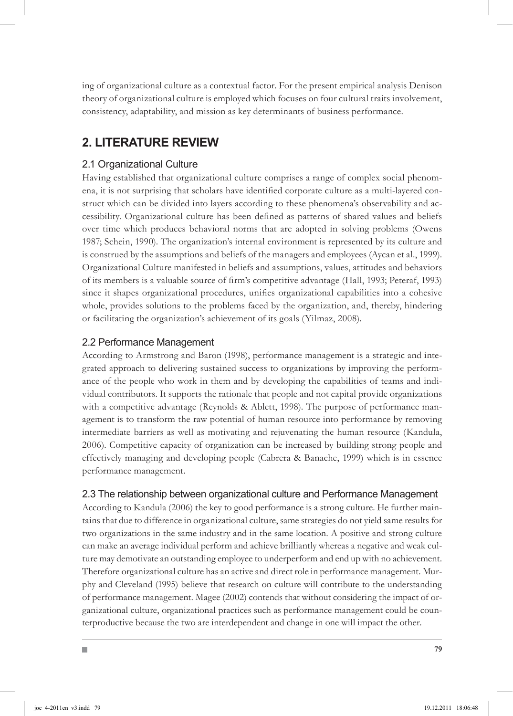ing of organizational culture as a contextual factor. For the present empirical analysis Denison theory of organizational culture is employed which focuses on four cultural traits involvement, consistency, adaptability, and mission as key determinants of business performance.

### **2. Literature Review**

### 2.1 Organizational Culture

Having established that organizational culture comprises a range of complex social phenomena, it is not surprising that scholars have identified corporate culture as a multi-layered construct which can be divided into layers according to these phenomena's observability and accessibility. Organizational culture has been defined as patterns of shared values and beliefs over time which produces behavioral norms that are adopted in solving problems (Owens 1987; Schein, 1990). The organization's internal environment is represented by its culture and is construed by the assumptions and beliefs of the managers and employees (Aycan et al., 1999). Organizational Culture manifested in beliefs and assumptions, values, attitudes and behaviors of its members is a valuable source of firm's competitive advantage (Hall, 1993; Peteraf, 1993) since it shapes organizational procedures, unifies organizational capabilities into a cohesive whole, provides solutions to the problems faced by the organization, and, thereby, hindering or facilitating the organization's achievement of its goals (Yilmaz, 2008).

#### 2.2 Performance Management

According to Armstrong and Baron (1998), performance management is a strategic and integrated approach to delivering sustained success to organizations by improving the performance of the people who work in them and by developing the capabilities of teams and individual contributors. It supports the rationale that people and not capital provide organizations with a competitive advantage (Reynolds & Ablett, 1998). The purpose of performance management is to transform the raw potential of human resource into performance by removing intermediate barriers as well as motivating and rejuvenating the human resource (Kandula, 2006). Competitive capacity of organization can be increased by building strong people and effectively managing and developing people (Cabrera & Banache, 1999) which is in essence performance management.

#### 2.3 The relationship between organizational culture and Performance Management

According to Kandula (2006) the key to good performance is a strong culture. He further maintains that due to difference in organizational culture, same strategies do not yield same results for two organizations in the same industry and in the same location. A positive and strong culture can make an average individual perform and achieve brilliantly whereas a negative and weak culture may demotivate an outstanding employee to underperform and end up with no achievement. Therefore organizational culture has an active and direct role in performance management. Murphy and Cleveland (1995) believe that research on culture will contribute to the understanding of performance management. Magee (2002) contends that without considering the impact of organizational culture, organizational practices such as performance management could be counterproductive because the two are interdependent and change in one will impact the other.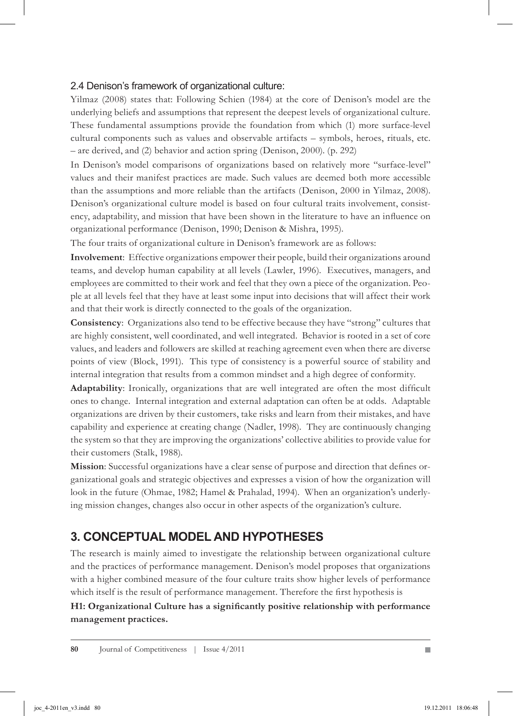#### 2.4 Denison's framework of organizational culture:

Yilmaz (2008) states that: Following Schien (1984) at the core of Denison's model are the underlying beliefs and assumptions that represent the deepest levels of organizational culture. These fundamental assumptions provide the foundation from which (1) more surface-level cultural components such as values and observable artifacts – symbols, heroes, rituals, etc. – are derived, and (2) behavior and action spring (Denison, 2000). (p. 292)

In Denison's model comparisons of organizations based on relatively more ''surface-level'' values and their manifest practices are made. Such values are deemed both more accessible than the assumptions and more reliable than the artifacts (Denison, 2000 in Yilmaz, 2008). Denison's organizational culture model is based on four cultural traits involvement, consistency, adaptability, and mission that have been shown in the literature to have an influence on organizational performance (Denison, 1990; Denison & Mishra, 1995).

The four traits of organizational culture in Denison's framework are as follows:

**Involvement**: Effective organizations empower their people, build their organizations around teams, and develop human capability at all levels (Lawler, 1996). Executives, managers, and employees are committed to their work and feel that they own a piece of the organization. People at all levels feel that they have at least some input into decisions that will affect their work and that their work is directly connected to the goals of the organization.

**Consistency**: Organizations also tend to be effective because they have "strong" cultures that are highly consistent, well coordinated, and well integrated. Behavior is rooted in a set of core values, and leaders and followers are skilled at reaching agreement even when there are diverse points of view (Block, 1991). This type of consistency is a powerful source of stability and internal integration that results from a common mindset and a high degree of conformity.

**Adaptability**: Ironically, organizations that are well integrated are often the most difficult ones to change. Internal integration and external adaptation can often be at odds. Adaptable organizations are driven by their customers, take risks and learn from their mistakes, and have capability and experience at creating change (Nadler, 1998). They are continuously changing the system so that they are improving the organizations' collective abilities to provide value for their customers (Stalk, 1988).

**Mission**: Successful organizations have a clear sense of purpose and direction that defines organizational goals and strategic objectives and expresses a vision of how the organization will look in the future (Ohmae, 1982; Hamel & Prahalad, 1994). When an organization's underlying mission changes, changes also occur in other aspects of the organization's culture.

### **3. Conceptual Model and hypotheses**

The research is mainly aimed to investigate the relationship between organizational culture and the practices of performance management. Denison's model proposes that organizations with a higher combined measure of the four culture traits show higher levels of performance which itself is the result of performance management. Therefore the first hypothesis is

**H1: Organizational Culture has a significantly positive relationship with performance management practices.**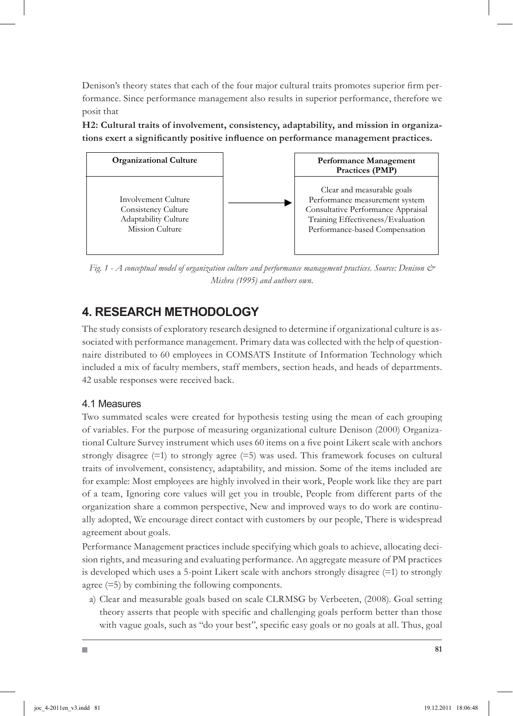Denison's theory states that each of the four major cultural traits promotes superior firm performance. Since performance management also results in superior performance, therefore we posit that

**H2: Cultural traits of involvement, consistency, adaptability, and mission in organizations exert a significantly positive influence on performance management practices.**



*Fig. 1 - A conceptual model of organization culture and performance management practices. Source: Denison & Mishra (1995) and authors own.*

### **4. Research Methodology**

The study consists of exploratory research designed to determine if organizational culture is associated with performance management. Primary data was collected with the help of questionnaire distributed to 60 employees in COMSATS Institute of Information Technology which included a mix of faculty members, staff members, section heads, and heads of departments. 42 usable responses were received back.

### 4.1 Measures

Two summated scales were created for hypothesis testing using the mean of each grouping of variables. For the purpose of measuring organizational culture Denison (2000) Organizational Culture Survey instrument which uses 60 items on a five point Likert scale with anchors strongly disagree  $(=1)$  to strongly agree  $(=5)$  was used. This framework focuses on cultural traits of involvement, consistency, adaptability, and mission. Some of the items included are for example: Most employees are highly involved in their work, People work like they are part of a team, Ignoring core values will get you in trouble, People from different parts of the organization share a common perspective, New and improved ways to do work are continually adopted, We encourage direct contact with customers by our people, There is widespread agreement about goals.

Performance Management practices include specifying which goals to achieve, allocating decision rights, and measuring and evaluating performance. An aggregate measure of PM practices is developed which uses a 5-point Likert scale with anchors strongly disagree (=1) to strongly agree (=5) by combining the following components.

a) Clear and measurable goals based on scale CLRMSG by Verbeeten, (2008). Goal setting theory asserts that people with specific and challenging goals perform better than those with vague goals, such as "do your best", specific easy goals or no goals at all. Thus, goal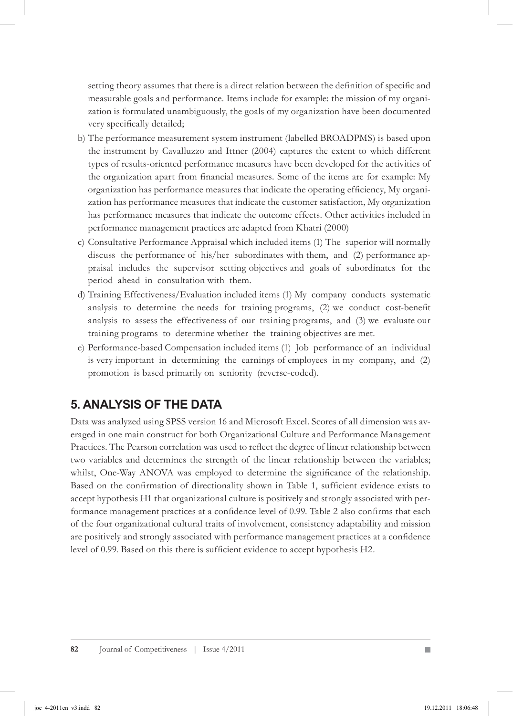setting theory assumes that there is a direct relation between the definition of specific and measurable goals and performance. Items include for example: the mission of my organization is formulated unambiguously, the goals of my organization have been documented very specifically detailed;

- b) The performance measurement system instrument (labelled BROADPMS) is based upon the instrument by Cavalluzzo and Ittner (2004) captures the extent to which different types of results-oriented performance measures have been developed for the activities of the organization apart from financial measures. Some of the items are for example: My organization has performance measures that indicate the operating efficiency, My organization has performance measures that indicate the customer satisfaction, My organization has performance measures that indicate the outcome effects. Other activities included in performance management practices are adapted from Khatri (2000)
- c) Consultative Performance Appraisal which included items (1) The superior will normally discuss the performance of his/her subordinates with them, and (2) performance appraisal includes the supervisor setting objectives and goals of subordinates for the period ahead in consultation with them.
- d) Training Effectiveness/Evaluation included items (1) My company conducts systematic analysis to determine the needs for training programs, (2) we conduct cost-benefit analysis to assess the effectiveness of our training programs, and (3) we evaluate our training programs to determine whether the training objectives are met.
- e) Performance-based Compensation included items (1) Job performance of an individual is very important in determining the earnings of employees in my company, and (2) promotion is based primarily on seniority (reverse-coded).

### **5. Analysis of the Data**

Data was analyzed using SPSS version 16 and Microsoft Excel. Scores of all dimension was averaged in one main construct for both Organizational Culture and Performance Management Practices. The Pearson correlation was used to reflect the degree of linear relationship between two variables and determines the strength of the linear relationship between the variables; whilst, One-Way ANOVA was employed to determine the significance of the relationship. Based on the confirmation of directionality shown in Table 1, sufficient evidence exists to accept hypothesis H1 that organizational culture is positively and strongly associated with performance management practices at a confidence level of 0.99. Table 2 also confirms that each of the four organizational cultural traits of involvement, consistency adaptability and mission are positively and strongly associated with performance management practices at a confidence level of 0.99. Based on this there is sufficient evidence to accept hypothesis H2.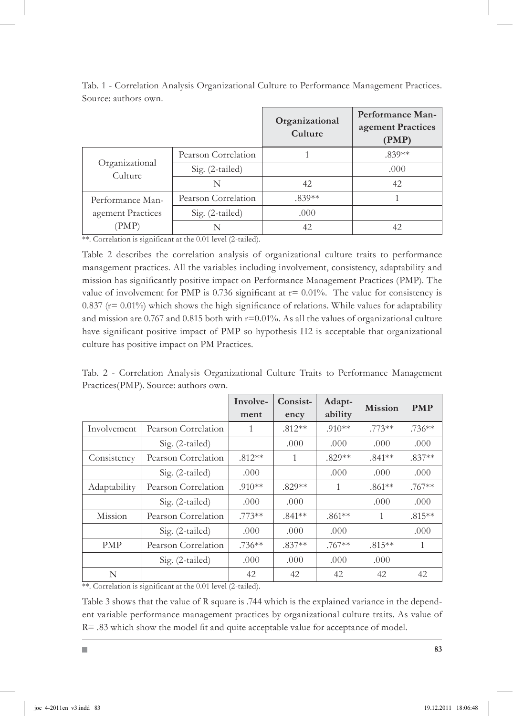|                                                |                     | Organizational<br>Culture | Performance Man-<br>agement Practices<br>(PMP) |
|------------------------------------------------|---------------------|---------------------------|------------------------------------------------|
| Organizational<br>Culture                      | Pearson Correlation |                           | $.839**$                                       |
|                                                | Sig. (2-tailed)     |                           | .000                                           |
|                                                | N                   | 42                        | 42                                             |
| Performance Man-<br>agement Practices<br>(PMP) | Pearson Correlation | $.839**$                  |                                                |
|                                                | $Sig. (2-tailed)$   | .000                      |                                                |
|                                                | N                   | 42                        | 42                                             |

Tab. 1 - Correlation Analysis Organizational Culture to Performance Management Practices. Source: authors own.

\*\*. Correlation is significant at the 0.01 level (2-tailed).

Table 2 describes the correlation analysis of organizational culture traits to performance management practices. All the variables including involvement, consistency, adaptability and mission has significantly positive impact on Performance Management Practices (PMP). The value of involvement for PMP is  $0.736$  significant at  $r = 0.01\%$ . The value for consistency is  $0.837$  ( $r= 0.01\%$ ) which shows the high significance of relations. While values for adaptability and mission are 0.767 and 0.815 both with  $r=0.01\%$ . As all the values of organizational culture have significant positive impact of PMP so hypothesis H2 is acceptable that organizational culture has positive impact on PM Practices.

Tab. 2 - Correlation Analysis Organizational Culture Traits to Performance Management Practices(PMP). Source: authors own.

|              |                     | Involve- | Consist- | Adapt-<br><b>Mission</b> |           | <b>PMP</b> |
|--------------|---------------------|----------|----------|--------------------------|-----------|------------|
|              |                     | ment     | ency     | ability                  |           |            |
| Involvement  | Pearson Correlation | 1        | $.812**$ | $.910**$                 | $.773**$  | $.736***$  |
|              | Sig. (2-tailed)     |          | .000     | .000                     | .000      | .000       |
| Consistency  | Pearson Correlation | $.812**$ | 1        | $.829**$                 | $.841**$  | $.837**$   |
|              | $Sig. (2-tailed)$   | .000     |          | .000                     | .000      | .000       |
| Adaptability | Pearson Correlation | $.910**$ | $.829**$ | 1                        | $.861**$  | $.767**$   |
|              | Sig. (2-tailed)     | .000     | .000     |                          | .000      | .000       |
| Mission      | Pearson Correlation | $.773**$ | $.841**$ | $.861**$                 | 1         | $.815***$  |
|              | Sig. (2-tailed)     | .000     | .000     | .000                     |           | .000       |
| <b>PMP</b>   | Pearson Correlation | $.736**$ | $.837**$ | $.767**$                 | $.815***$ | 1          |
|              | $Sig. (2-tailed)$   | .000     | .000     | .000                     | .000      |            |
| N            |                     | 42       | 42       | 42                       | 42        | 42         |

\*\*. Correlation is significant at the 0.01 level (2-tailed).

Table 3 shows that the value of R square is .744 which is the explained variance in the dependent variable performance management practices by organizational culture traits. As value of R= .83 which show the model fit and quite acceptable value for acceptance of model.

 $\overline{\phantom{a}}$ 

**83**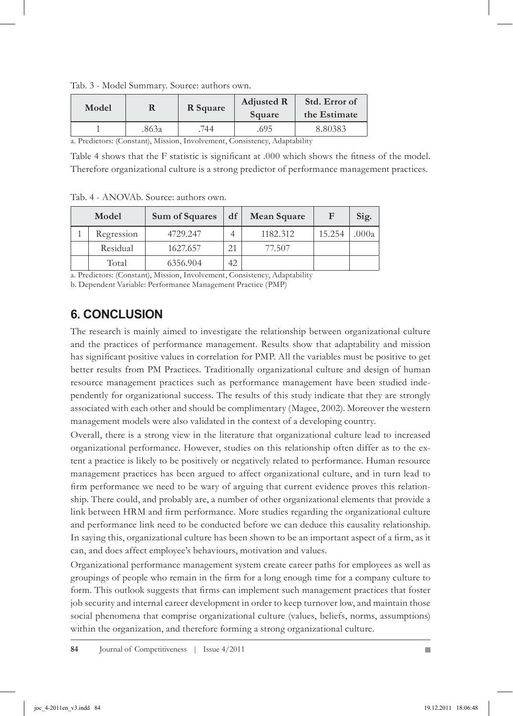| Model |       | R Square | <b>Adjusted R</b><br>Square | Std. Error of<br>the Estimate |  |
|-------|-------|----------|-----------------------------|-------------------------------|--|
|       | .863a | 744      | .695                        | 8.80383                       |  |

Tab. 3 - Model Summary. Source: authors own.

a. Predictors: (Constant), Mission, Involvement, Consistency, Adaptability

Table 4 shows that the F statistic is significant at .000 which shows the fitness of the model. Therefore organizational culture is a strong predictor of performance management practices.

Tab. 4 - ANOVAb. Source: authors own.

| Model      | Sum of Squares | df | Mean Square | F      | Sig.  |
|------------|----------------|----|-------------|--------|-------|
| Regression | 4729.247       |    | 1182.312    | 15.254 | .000a |
| Residual   | 1627.657       | 21 | 77.507      |        |       |
| Total      | 6356.904       | 42 |             |        |       |

a. Predictors: (Constant), Mission, Involvement, Consistency, Adaptability

b. Dependent Variable: Performance Management Practice (PMP)

## **6. Conclusion**

The research is mainly aimed to investigate the relationship between organizational culture and the practices of performance management. Results show that adaptability and mission has significant positive values in correlation for PMP. All the variables must be positive to get better results from PM Practices. Traditionally organizational culture and design of human resource management practices such as performance management have been studied independently for organizational success. The results of this study indicate that they are strongly associated with each other and should be complimentary (Magee, 2002). Moreover the western management models were also validated in the context of a developing country.

Overall, there is a strong view in the literature that organizational culture lead to increased organizational performance. However, studies on this relationship often differ as to the extent a practice is likely to be positively or negatively related to performance. Human resource management practices has been argued to affect organizational culture, and in turn lead to firm performance we need to be wary of arguing that current evidence proves this relationship. There could, and probably are, a number of other organizational elements that provide a link between HRM and firm performance. More studies regarding the organizational culture and performance link need to be conducted before we can deduce this causality relationship. In saying this, organizational culture has been shown to be an important aspect of a firm, as it can, and does affect employee's behaviours, motivation and values.

Organizational performance management system create career paths for employees as well as groupings of people who remain in the firm for a long enough time for a company culture to form. This outlook suggests that firms can implement such management practices that foster job security and internal career development in order to keep turnover low, and maintain those social phenomena that comprise organizational culture (values, beliefs, norms, assumptions) within the organization, and therefore forming a strong organizational culture.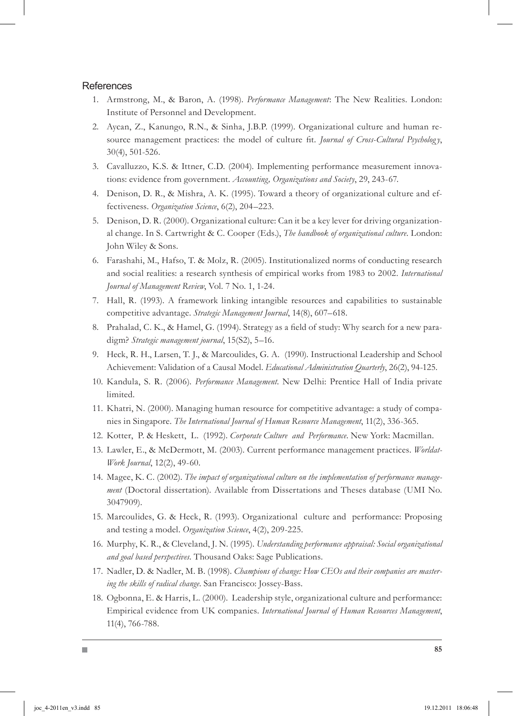#### **References**

- Armstrong, M., & Baron, A. (1998). *Performance Management*: The New Realities. London: 1. Institute of Personnel and Development.
- 2. Aycan, Z., Kanungo, R.N., & Sinha, J.B.P. (1999). Organizational culture and human resource management practices: the model of culture fit. *Journal of Cross-Cultural Psychology*, 30(4), 501-526.
- 3. Cavalluzzo, K.S. & Ittner, C.D. (2004). Implementing performance measurement innovations: evidence from government. *Accounting, Organizations and Society*, 29, 243-67.
- 4. Denison, D. R., & Mishra, A. K. (1995). Toward a theory of organizational culture and effectiveness. *Organization Science*, 6(2), 204–223.
- 5. Denison, D. R. (2000). Organizational culture: Can it be a key lever for driving organizational change. In S. Cartwright & C. Cooper (Eds.), *The handbook of organizational culture*. London: John Wiley & Sons.
- Farashahi, M., Hafso, T. & Molz, R. (2005). Institutionalized norms of conducting research 6. and social realities: a research synthesis of empirical works from 1983 to 2002. *International Journal of Management Review*, Vol. 7 No. 1, 1-24.
- 7. Hall, R. (1993). A framework linking intangible resources and capabilities to sustainable competitive advantage. *Strategic Management Journal*, 14(8), 607–618.
- 8. Prahalad, C. K., & Hamel, G. (1994). Strategy as a field of study: Why search for a new paradigm? *Strategic management journal*, 15(S2), 5–16.
- 9. Heck, R. H., Larsen, T. J., & Marcoulides, G. A. (1990). Instructional Leadership and School Achievement: Validation of a Causal Model. *Educational Administration Quarterly*, 26(2), 94-125.
- 10. Kandula, S. R. (2006). *Performance Management*. New Delhi: Prentice Hall of India private limited.
- 11. Khatri, N. (2000). Managing human resource for competitive advantage: a study of companies in Singapore. *The International Journal of Human Resource Management*, 11(2), 336-365.
- 12. Kotter, P. & Heskett, L. (1992). *Corporate Culture and Performance*. New York: Macmillan.
- 13. Lawler, E., & McDermott, M. (2003). Current performance management practices. *Worldat*-*Work Journal*, 12(2), 49-60.
- 14. Magee, K. C. (2002). The impact of organizational culture on the implementation of performance manage*ment* (Doctoral dissertation). Available from Dissertations and Theses database (UMI No. 3047909).
- 15. Marcoulides, G. & Heck, R. (1993). Organizational culture and performance: Proposing and testing a model. *Organization Science*, 4(2), 209-225.
- 16. Murphy, K. R., & Cleveland, J. N. (1995). *Understanding performance appraisal: Social organizational and goal based perspectives.* Thousand Oaks: Sage Publications.
- 17. Nadler, D. & Nadler, M. B. (1998). *Champions of change: How CEOs and their companies are mastering the skills of radical change*. San Francisco: Jossey-Bass.
- 18. Ogbonna, E. & Harris, L. (2000). Leadership style, organizational culture and performance: Empirical evidence from UK companies. *International Journal of Human Resources Management*, 11(4), 766-788.